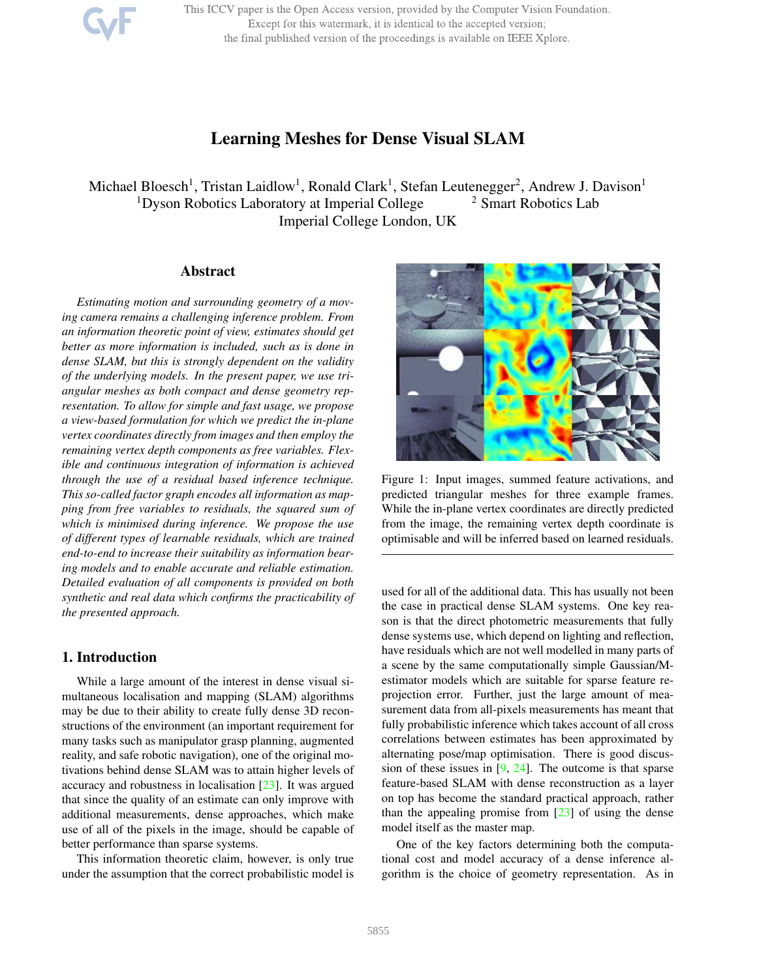This ICCV paper is the Open Access version, provided by the Computer Vision Foundation. Except for this watermark, it is identical to the accepted version; the final published version of the proceedings is available on IEEE Xplore.

# Learning Meshes for Dense Visual SLAM

Michael Bloesch<sup>1</sup>, Tristan Laidlow<sup>1</sup>, Ronald Clark<sup>1</sup>, Stefan Leutenegger<sup>2</sup>, Andrew J. Davison<sup>1</sup> <sup>1</sup>Dyson Robotics Laboratory at Imperial College  $\frac{2 \text{ Smart Robotics} }$  Lab Imperial College London, UK

# Abstract

*Estimating motion and surrounding geometry of a moving camera remains a challenging inference problem. From an information theoretic point of view, estimates should get better as more information is included, such as is done in dense SLAM, but this is strongly dependent on the validity of the underlying models. In the present paper, we use triangular meshes as both compact and dense geometry representation. To allow for simple and fast usage, we propose a view-based formulation for which we predict the in-plane vertex coordinates directly from images and then employ the remaining vertex depth components as free variables. Flexible and continuous integration of information is achieved through the use of a residual based inference technique. This so-called factor graph encodes all information as mapping from free variables to residuals, the squared sum of which is minimised during inference. We propose the use of different types of learnable residuals, which are trained end-to-end to increase their suitability as information bearing models and to enable accurate and reliable estimation. Detailed evaluation of all components is provided on both synthetic and real data which confirms the practicability of the presented approach.*

# 1. Introduction

While a large amount of the interest in dense visual simultaneous localisation and mapping (SLAM) algorithms may be due to their ability to create fully dense 3D reconstructions of the environment (an important requirement for many tasks such as manipulator grasp planning, augmented reality, and safe robotic navigation), one of the original motivations behind dense SLAM was to attain higher levels of accuracy and robustness in localisation [23]. It was argued that since the quality of an estimate can only improve with additional measurements, dense approaches, which make use of all of the pixels in the image, should be capable of better performance than sparse systems.

This information theoretic claim, however, is only true under the assumption that the correct probabilistic model is



Figure 1: Input images, summed feature activations, and predicted triangular meshes for three example frames. While the in-plane vertex coordinates are directly predicted from the image, the remaining vertex depth coordinate is optimisable and will be inferred based on learned residuals.

used for all of the additional data. This has usually not been the case in practical dense SLAM systems. One key reason is that the direct photometric measurements that fully dense systems use, which depend on lighting and reflection, have residuals which are not well modelled in many parts of a scene by the same computationally simple Gaussian/Mestimator models which are suitable for sparse feature reprojection error. Further, just the large amount of measurement data from all-pixels measurements has meant that fully probabilistic inference which takes account of all cross correlations between estimates has been approximated by alternating pose/map optimisation. There is good discussion of these issues in  $[9, 24]$ . The outcome is that sparse feature-based SLAM with dense reconstruction as a layer on top has become the standard practical approach, rather than the appealing promise from  $[23]$  of using the dense model itself as the master map.

One of the key factors determining both the computational cost and model accuracy of a dense inference algorithm is the choice of geometry representation. As in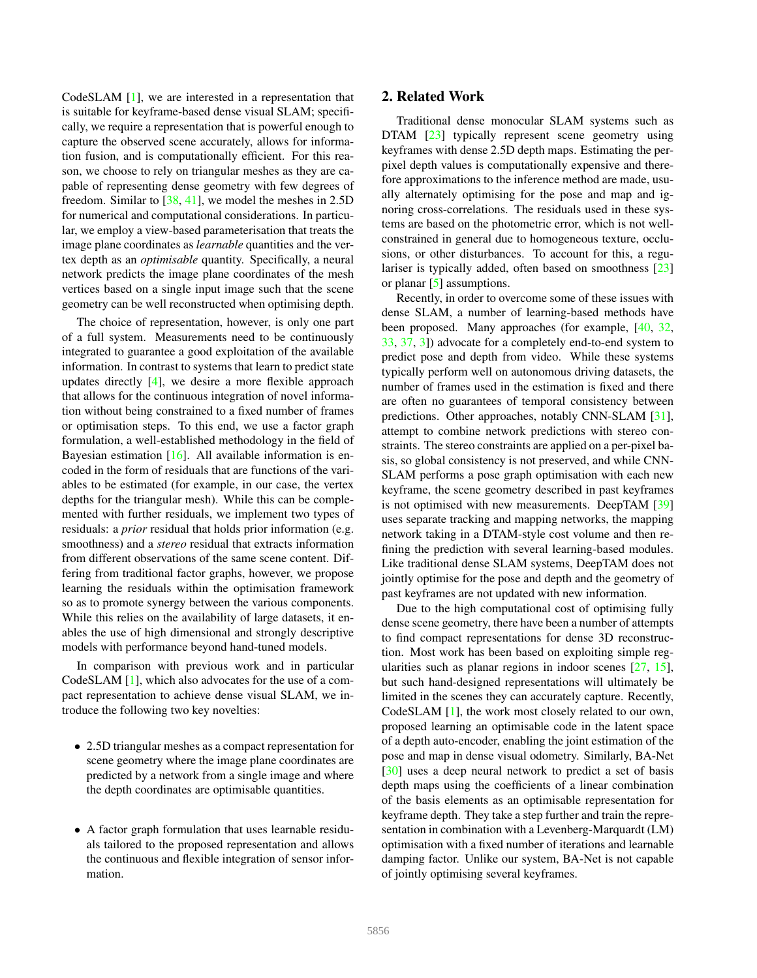CodeSLAM [1], we are interested in a representation that is suitable for keyframe-based dense visual SLAM; specifically, we require a representation that is powerful enough to capture the observed scene accurately, allows for information fusion, and is computationally efficient. For this reason, we choose to rely on triangular meshes as they are capable of representing dense geometry with few degrees of freedom. Similar to  $[38, 41]$ , we model the meshes in 2.5D for numerical and computational considerations. In particular, we employ a view-based parameterisation that treats the image plane coordinates as *learnable* quantities and the vertex depth as an *optimisable* quantity. Specifically, a neural network predicts the image plane coordinates of the mesh vertices based on a single input image such that the scene geometry can be well reconstructed when optimising depth.

The choice of representation, however, is only one part of a full system. Measurements need to be continuously integrated to guarantee a good exploitation of the available information. In contrast to systems that learn to predict state updates directly [4], we desire a more flexible approach that allows for the continuous integration of novel information without being constrained to a fixed number of frames or optimisation steps. To this end, we use a factor graph formulation, a well-established methodology in the field of Bayesian estimation [16]. All available information is encoded in the form of residuals that are functions of the variables to be estimated (for example, in our case, the vertex depths for the triangular mesh). While this can be complemented with further residuals, we implement two types of residuals: a *prior* residual that holds prior information (e.g. smoothness) and a *stereo* residual that extracts information from different observations of the same scene content. Differing from traditional factor graphs, however, we propose learning the residuals within the optimisation framework so as to promote synergy between the various components. While this relies on the availability of large datasets, it enables the use of high dimensional and strongly descriptive models with performance beyond hand-tuned models.

In comparison with previous work and in particular CodeSLAM [1], which also advocates for the use of a compact representation to achieve dense visual SLAM, we introduce the following two key novelties:

- 2.5D triangular meshes as a compact representation for scene geometry where the image plane coordinates are predicted by a network from a single image and where the depth coordinates are optimisable quantities.
- A factor graph formulation that uses learnable residuals tailored to the proposed representation and allows the continuous and flexible integration of sensor information.

# 2. Related Work

Traditional dense monocular SLAM systems such as DTAM [23] typically represent scene geometry using keyframes with dense 2.5D depth maps. Estimating the perpixel depth values is computationally expensive and therefore approximations to the inference method are made, usually alternately optimising for the pose and map and ignoring cross-correlations. The residuals used in these systems are based on the photometric error, which is not wellconstrained in general due to homogeneous texture, occlusions, or other disturbances. To account for this, a regulariser is typically added, often based on smoothness [23] or planar [5] assumptions.

Recently, in order to overcome some of these issues with dense SLAM, a number of learning-based methods have been proposed. Many approaches (for example, [40, 32, 33, 37, 3]) advocate for a completely end-to-end system to predict pose and depth from video. While these systems typically perform well on autonomous driving datasets, the number of frames used in the estimation is fixed and there are often no guarantees of temporal consistency between predictions. Other approaches, notably CNN-SLAM [31], attempt to combine network predictions with stereo constraints. The stereo constraints are applied on a per-pixel basis, so global consistency is not preserved, and while CNN-SLAM performs a pose graph optimisation with each new keyframe, the scene geometry described in past keyframes is not optimised with new measurements. DeepTAM [39] uses separate tracking and mapping networks, the mapping network taking in a DTAM-style cost volume and then refining the prediction with several learning-based modules. Like traditional dense SLAM systems, DeepTAM does not jointly optimise for the pose and depth and the geometry of past keyframes are not updated with new information.

Due to the high computational cost of optimising fully dense scene geometry, there have been a number of attempts to find compact representations for dense 3D reconstruction. Most work has been based on exploiting simple regularities such as planar regions in indoor scenes [27, 15], but such hand-designed representations will ultimately be limited in the scenes they can accurately capture. Recently, CodeSLAM [1], the work most closely related to our own, proposed learning an optimisable code in the latent space of a depth auto-encoder, enabling the joint estimation of the pose and map in dense visual odometry. Similarly, BA-Net [30] uses a deep neural network to predict a set of basis depth maps using the coefficients of a linear combination of the basis elements as an optimisable representation for keyframe depth. They take a step further and train the representation in combination with a Levenberg-Marquardt (LM) optimisation with a fixed number of iterations and learnable damping factor. Unlike our system, BA-Net is not capable of jointly optimising several keyframes.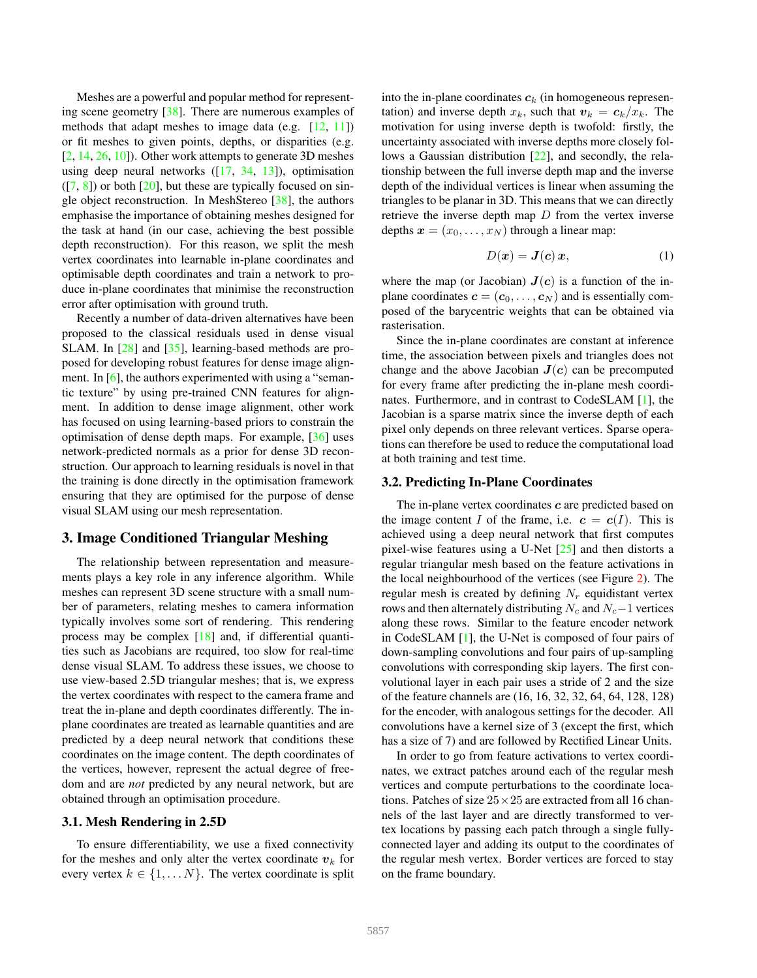Meshes are a powerful and popular method for representing scene geometry [38]. There are numerous examples of methods that adapt meshes to image data (e.g. [12, 11]) or fit meshes to given points, depths, or disparities (e.g. [2, 14, 26, 10]). Other work attempts to generate 3D meshes using deep neural networks ([17, 34, 13]), optimisation  $([7, 8])$  or both  $[20]$ , but these are typically focused on single object reconstruction. In MeshStereo [38], the authors emphasise the importance of obtaining meshes designed for the task at hand (in our case, achieving the best possible depth reconstruction). For this reason, we split the mesh vertex coordinates into learnable in-plane coordinates and optimisable depth coordinates and train a network to produce in-plane coordinates that minimise the reconstruction error after optimisation with ground truth.

Recently a number of data-driven alternatives have been proposed to the classical residuals used in dense visual SLAM. In [28] and [35], learning-based methods are proposed for developing robust features for dense image alignment. In  $[6]$ , the authors experimented with using a "semantic texture" by using pre-trained CNN features for alignment. In addition to dense image alignment, other work has focused on using learning-based priors to constrain the optimisation of dense depth maps. For example, [36] uses network-predicted normals as a prior for dense 3D reconstruction. Our approach to learning residuals is novel in that the training is done directly in the optimisation framework ensuring that they are optimised for the purpose of dense visual SLAM using our mesh representation.

### 3. Image Conditioned Triangular Meshing

The relationship between representation and measurements plays a key role in any inference algorithm. While meshes can represent 3D scene structure with a small number of parameters, relating meshes to camera information typically involves some sort of rendering. This rendering process may be complex [18] and, if differential quantities such as Jacobians are required, too slow for real-time dense visual SLAM. To address these issues, we choose to use view-based 2.5D triangular meshes; that is, we express the vertex coordinates with respect to the camera frame and treat the in-plane and depth coordinates differently. The inplane coordinates are treated as learnable quantities and are predicted by a deep neural network that conditions these coordinates on the image content. The depth coordinates of the vertices, however, represent the actual degree of freedom and are *not* predicted by any neural network, but are obtained through an optimisation procedure.

# 3.1. Mesh Rendering in 2.5D

To ensure differentiability, we use a fixed connectivity for the meshes and only alter the vertex coordinate  $v_k$  for every vertex  $k \in \{1, \ldots N\}$ . The vertex coordinate is split into the in-plane coordinates  $c_k$  (in homogeneous representation) and inverse depth  $x_k$ , such that  $v_k = c_k/x_k$ . The motivation for using inverse depth is twofold: firstly, the uncertainty associated with inverse depths more closely follows a Gaussian distribution  $[22]$ , and secondly, the relationship between the full inverse depth map and the inverse depth of the individual vertices is linear when assuming the triangles to be planar in 3D. This means that we can directly retrieve the inverse depth map  $D$  from the vertex inverse depths  $\mathbf{x} = (x_0, \dots, x_N)$  through a linear map:

$$
D(\mathbf{x}) = \mathbf{J}(\mathbf{c})\,\mathbf{x},\tag{1}
$$

where the map (or Jacobian)  $J(c)$  is a function of the inplane coordinates  $\mathbf{c} = (\mathbf{c}_0, \dots, \mathbf{c}_N)$  and is essentially composed of the barycentric weights that can be obtained via rasterisation.

Since the in-plane coordinates are constant at inference time, the association between pixels and triangles does not change and the above Jacobian  $J(c)$  can be precomputed for every frame after predicting the in-plane mesh coordinates. Furthermore, and in contrast to CodeSLAM [1], the Jacobian is a sparse matrix since the inverse depth of each pixel only depends on three relevant vertices. Sparse operations can therefore be used to reduce the computational load at both training and test time.

#### 3.2. Predicting In-Plane Coordinates

The in-plane vertex coordinates  $c$  are predicted based on the image content I of the frame, i.e.  $c = c(I)$ . This is achieved using a deep neural network that first computes pixel-wise features using a U-Net [25] and then distorts a regular triangular mesh based on the feature activations in the local neighbourhood of the vertices (see Figure 2). The regular mesh is created by defining  $N_r$  equidistant vertex rows and then alternately distributing  $N_c$  and  $N_c-1$  vertices along these rows. Similar to the feature encoder network in CodeSLAM [1], the U-Net is composed of four pairs of down-sampling convolutions and four pairs of up-sampling convolutions with corresponding skip layers. The first convolutional layer in each pair uses a stride of 2 and the size of the feature channels are (16, 16, 32, 32, 64, 64, 128, 128) for the encoder, with analogous settings for the decoder. All convolutions have a kernel size of 3 (except the first, which has a size of 7) and are followed by Rectified Linear Units.

In order to go from feature activations to vertex coordinates, we extract patches around each of the regular mesh vertices and compute perturbations to the coordinate locations. Patches of size  $25 \times 25$  are extracted from all 16 channels of the last layer and are directly transformed to vertex locations by passing each patch through a single fullyconnected layer and adding its output to the coordinates of the regular mesh vertex. Border vertices are forced to stay on the frame boundary.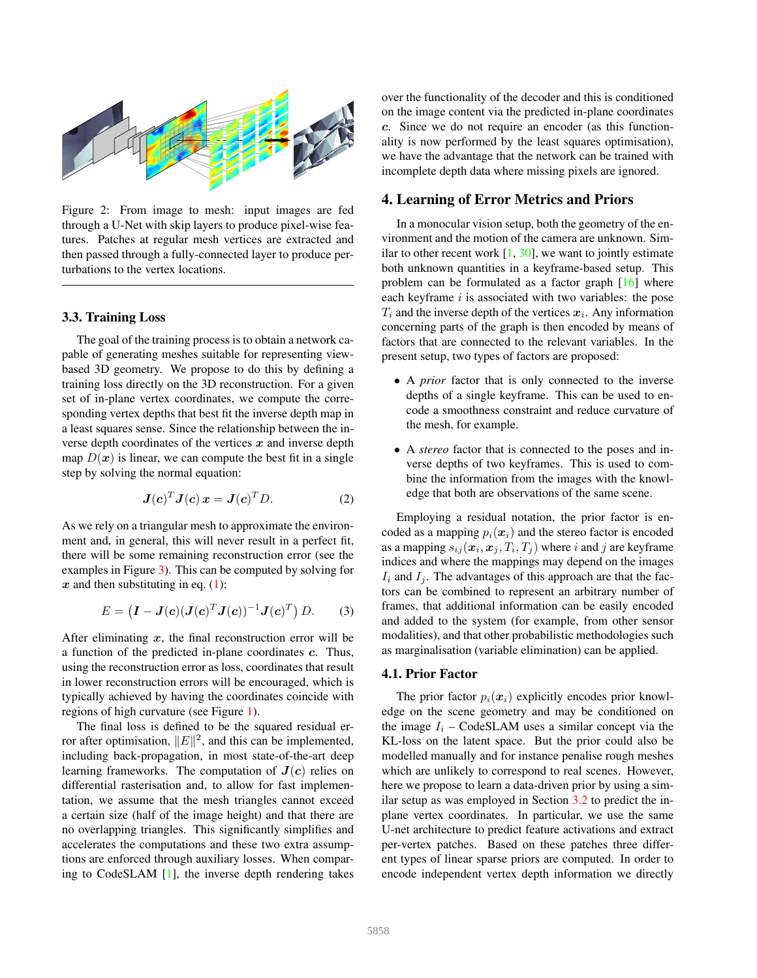

Figure 2: From image to mesh: input images are fed through a U-Net with skip layers to produce pixel-wise features. Patches at regular mesh vertices are extracted and then passed through a fully-connected layer to produce perturbations to the vertex locations.

#### 3.3. Training Loss

The goal of the training process is to obtain a network capable of generating meshes suitable for representing viewbased 3D geometry. We propose to do this by defining a training loss directly on the 3D reconstruction. For a given set of in-plane vertex coordinates, we compute the corresponding vertex depths that best fit the inverse depth map in a least squares sense. Since the relationship between the inverse depth coordinates of the vertices  $x$  and inverse depth map  $D(x)$  is linear, we can compute the best fit in a single step by solving the normal equation:

$$
\boldsymbol{J}(\boldsymbol{c})^T \boldsymbol{J}(\boldsymbol{c}) \, \boldsymbol{x} = \boldsymbol{J}(\boldsymbol{c})^T \boldsymbol{D}.
$$
 (2)

As we rely on a triangular mesh to approximate the environment and, in general, this will never result in a perfect fit, there will be some remaining reconstruction error (see the examples in Figure 3). This can be computed by solving for  $x$  and then substituting in eq.  $(1)$ :

$$
E = \left(\mathbf{I} - \mathbf{J}(\mathbf{c})(\mathbf{J}(\mathbf{c})^T \mathbf{J}(\mathbf{c}))^{-1} \mathbf{J}(\mathbf{c})^T\right) D. \tag{3}
$$

After eliminating  $x$ , the final reconstruction error will be a function of the predicted in-plane coordinates c. Thus, using the reconstruction error as loss, coordinates that result in lower reconstruction errors will be encouraged, which is typically achieved by having the coordinates coincide with regions of high curvature (see Figure 1).

The final loss is defined to be the squared residual error after optimisation,  $||E||^2$ , and this can be implemented, including back-propagation, in most state-of-the-art deep learning frameworks. The computation of  $J(c)$  relies on differential rasterisation and, to allow for fast implementation, we assume that the mesh triangles cannot exceed a certain size (half of the image height) and that there are no overlapping triangles. This significantly simplifies and accelerates the computations and these two extra assumptions are enforced through auxiliary losses. When comparing to CodeSLAM [1], the inverse depth rendering takes over the functionality of the decoder and this is conditioned on the image content via the predicted in-plane coordinates c. Since we do not require an encoder (as this functionality is now performed by the least squares optimisation), we have the advantage that the network can be trained with incomplete depth data where missing pixels are ignored.

### 4. Learning of Error Metrics and Priors

In a monocular vision setup, both the geometry of the environment and the motion of the camera are unknown. Similar to other recent work  $[1, 30]$ , we want to jointly estimate both unknown quantities in a keyframe-based setup. This problem can be formulated as a factor graph [16] where each keyframe  $i$  is associated with two variables: the pose  $T_i$  and the inverse depth of the vertices  $x_i$ . Any information concerning parts of the graph is then encoded by means of factors that are connected to the relevant variables. In the present setup, two types of factors are proposed:

- A *prior* factor that is only connected to the inverse depths of a single keyframe. This can be used to encode a smoothness constraint and reduce curvature of the mesh, for example.
- A *stereo* factor that is connected to the poses and inverse depths of two keyframes. This is used to combine the information from the images with the knowledge that both are observations of the same scene.

Employing a residual notation, the prior factor is encoded as a mapping  $p_i(x_i)$  and the stereo factor is encoded as a mapping  $s_{ij}(\boldsymbol{x}_i, \boldsymbol{x}_j, T_i, T_j)$  where i and j are keyframe indices and where the mappings may depend on the images  $I_i$  and  $I_j$ . The advantages of this approach are that the factors can be combined to represent an arbitrary number of frames, that additional information can be easily encoded and added to the system (for example, from other sensor modalities), and that other probabilistic methodologies such as marginalisation (variable elimination) can be applied.

#### 4.1. Prior Factor

The prior factor  $p_i(x_i)$  explicitly encodes prior knowledge on the scene geometry and may be conditioned on the image  $I_i$  – CodeSLAM uses a similar concept via the KL-loss on the latent space. But the prior could also be modelled manually and for instance penalise rough meshes which are unlikely to correspond to real scenes. However, here we propose to learn a data-driven prior by using a similar setup as was employed in Section 3.2 to predict the inplane vertex coordinates. In particular, we use the same U-net architecture to predict feature activations and extract per-vertex patches. Based on these patches three different types of linear sparse priors are computed. In order to encode independent vertex depth information we directly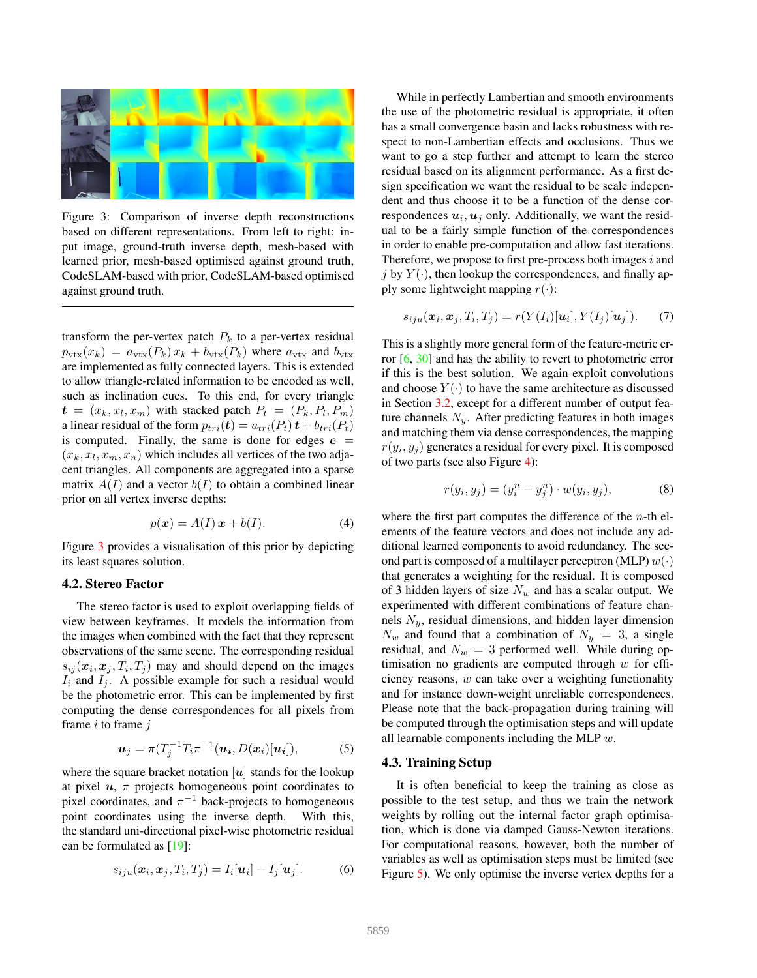

Figure 3: Comparison of inverse depth reconstructions based on different representations. From left to right: input image, ground-truth inverse depth, mesh-based with learned prior, mesh-based optimised against ground truth, CodeSLAM-based with prior, CodeSLAM-based optimised against ground truth.

transform the per-vertex patch  $P_k$  to a per-vertex residual  $p_{\text{vtx}}(x_k) = a_{\text{vtx}}(P_k)x_k + b_{\text{vtx}}(P_k)$  where  $a_{\text{vtx}}$  and  $b_{\text{vtx}}$ are implemented as fully connected layers. This is extended to allow triangle-related information to be encoded as well, such as inclination cues. To this end, for every triangle  $\boldsymbol{t} = (x_k, x_l, x_m)$  with stacked patch  $P_t = (P_k, P_l, P_m)$ a linear residual of the form  $p_{tri}(\mathbf{t}) = a_{tri}(P_t) \mathbf{t} + b_{tri}(P_t)$ is computed. Finally, the same is done for edges  $e =$  $(x_k, x_l, x_m, x_n)$  which includes all vertices of the two adjacent triangles. All components are aggregated into a sparse matrix  $A(I)$  and a vector  $b(I)$  to obtain a combined linear prior on all vertex inverse depths:

$$
p(\boldsymbol{x}) = A(I)\,\boldsymbol{x} + b(I). \tag{4}
$$

Figure 3 provides a visualisation of this prior by depicting its least squares solution.

### 4.2. Stereo Factor

The stereo factor is used to exploit overlapping fields of view between keyframes. It models the information from the images when combined with the fact that they represent observations of the same scene. The corresponding residual  $s_{ij}(\mathbf{x}_i, \mathbf{x}_j, T_i, T_j)$  may and should depend on the images  $I_i$  and  $I_j$ . A possible example for such a residual would be the photometric error. This can be implemented by first computing the dense correspondences for all pixels from frame  $i$  to frame  $j$ 

$$
\boldsymbol{u}_j = \pi (T_j^{-1} T_i \pi^{-1}(\boldsymbol{u_i}, D(\boldsymbol{x_i})[\boldsymbol{u_i}]), \tag{5}
$$

where the square bracket notation  $[u]$  stands for the lookup at pixel  $u$ ,  $\pi$  projects homogeneous point coordinates to pixel coordinates, and  $\pi^{-1}$  back-projects to homogeneous point coordinates using the inverse depth. With this, the standard uni-directional pixel-wise photometric residual can be formulated as [19]:

$$
s_{iju}(\boldsymbol{x}_i, \boldsymbol{x}_j, T_i, T_j) = I_i[\boldsymbol{u}_i] - I_j[\boldsymbol{u}_j]. \tag{6}
$$

While in perfectly Lambertian and smooth environments the use of the photometric residual is appropriate, it often has a small convergence basin and lacks robustness with respect to non-Lambertian effects and occlusions. Thus we want to go a step further and attempt to learn the stereo residual based on its alignment performance. As a first design specification we want the residual to be scale independent and thus choose it to be a function of the dense correspondences  $u_i, u_j$  only. Additionally, we want the residual to be a fairly simple function of the correspondences in order to enable pre-computation and allow fast iterations. Therefore, we propose to first pre-process both images  $i$  and j by  $Y(\cdot)$ , then lookup the correspondences, and finally apply some lightweight mapping  $r(\cdot)$ :

$$
s_{iju}(\boldsymbol{x}_i, \boldsymbol{x}_j, T_i, T_j) = r(Y(I_i)[\boldsymbol{u}_i], Y(I_j)[\boldsymbol{u}_j]).
$$
 (7)

This is a slightly more general form of the feature-metric error  $[6, 30]$  and has the ability to revert to photometric error if this is the best solution. We again exploit convolutions and choose  $Y(\cdot)$  to have the same architecture as discussed in Section 3.2, except for a different number of output feature channels  $N_{y}$ . After predicting features in both images and matching them via dense correspondences, the mapping  $r(y_i, y_j)$  generates a residual for every pixel. It is composed of two parts (see also Figure 4):

$$
r(y_i, y_j) = (y_i^n - y_j^n) \cdot w(y_i, y_j),
$$
 (8)

where the first part computes the difference of the  $n$ -th elements of the feature vectors and does not include any additional learned components to avoid redundancy. The second part is composed of a multilayer perceptron (MLP)  $w(\cdot)$ that generates a weighting for the residual. It is composed of 3 hidden layers of size  $N_w$  and has a scalar output. We experimented with different combinations of feature channels  $N_y$ , residual dimensions, and hidden layer dimension  $N_w$  and found that a combination of  $N_y = 3$ , a single residual, and  $N_w = 3$  performed well. While during optimisation no gradients are computed through  $w$  for efficiency reasons,  $w$  can take over a weighting functionality and for instance down-weight unreliable correspondences. Please note that the back-propagation during training will be computed through the optimisation steps and will update all learnable components including the MLP  $w$ .

#### 4.3. Training Setup

It is often beneficial to keep the training as close as possible to the test setup, and thus we train the network weights by rolling out the internal factor graph optimisation, which is done via damped Gauss-Newton iterations. For computational reasons, however, both the number of variables as well as optimisation steps must be limited (see Figure 5). We only optimise the inverse vertex depths for a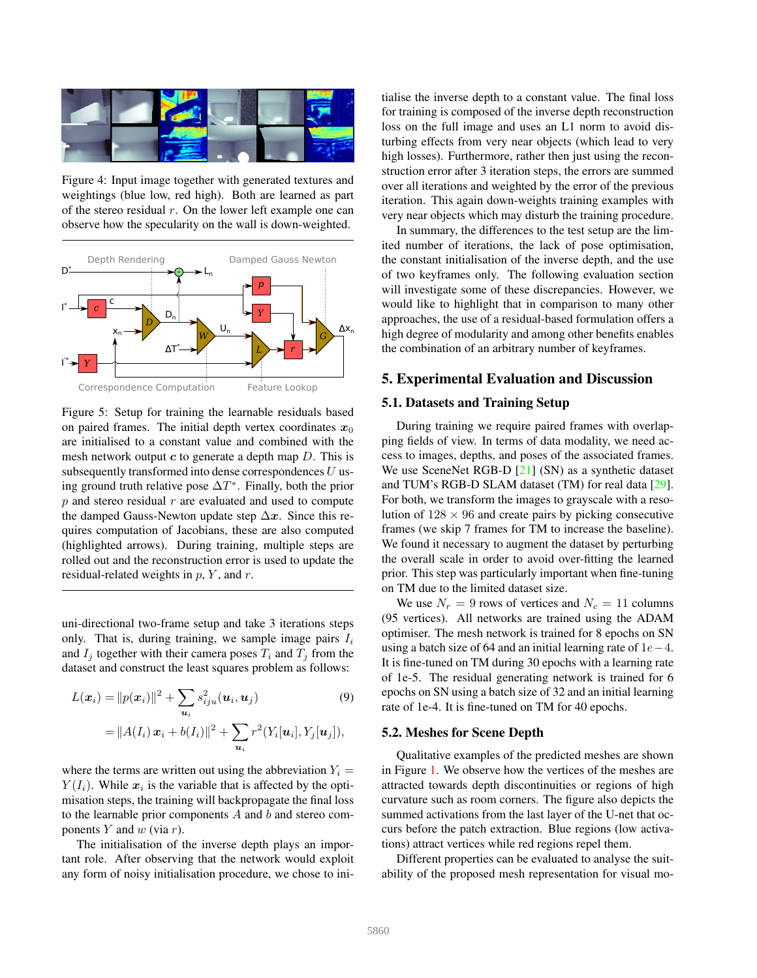

Figure 4: Input image together with generated textures and weightings (blue low, red high). Both are learned as part of the stereo residual  $r$ . On the lower left example one can observe how the specularity on the wall is down-weighted.



Figure 5: Setup for training the learnable residuals based on paired frames. The initial depth vertex coordinates  $x_0$ are initialised to a constant value and combined with the mesh network output  $c$  to generate a depth map  $D$ . This is subsequently transformed into dense correspondences  $U$  using ground truth relative pose  $\Delta T^*$ . Finally, both the prior  $p$  and stereo residual  $r$  are evaluated and used to compute the damped Gauss-Newton update step  $\Delta x$ . Since this requires computation of Jacobians, these are also computed (highlighted arrows). During training, multiple steps are rolled out and the reconstruction error is used to update the residual-related weights in  $p$ ,  $Y$ , and  $r$ .

uni-directional two-frame setup and take 3 iterations steps only. That is, during training, we sample image pairs  $I_i$ and  $I_i$  together with their camera poses  $T_i$  and  $T_j$  from the dataset and construct the least squares problem as follows:

$$
L(\boldsymbol{x}_i) = ||p(\boldsymbol{x}_i)||^2 + \sum_{\boldsymbol{u}_i} s_{iju}^2(\boldsymbol{u}_i, \boldsymbol{u}_j)
$$
(9)  
=  $||A(I_i) \boldsymbol{x}_i + b(I_i)||^2 + \sum_{\boldsymbol{u}_i} r^2(Y_i[\boldsymbol{u}_i], Y_j[\boldsymbol{u}_j]),$ 

where the terms are written out using the abbreviation  $Y_i =$  $Y(I_i)$ . While  $x_i$  is the variable that is affected by the optimisation steps, the training will backpropagate the final loss to the learnable prior components  $A$  and  $b$  and stereo components  $Y$  and  $w$  (via  $r$ ).

The initialisation of the inverse depth plays an important role. After observing that the network would exploit any form of noisy initialisation procedure, we chose to initialise the inverse depth to a constant value. The final loss for training is composed of the inverse depth reconstruction loss on the full image and uses an L1 norm to avoid disturbing effects from very near objects (which lead to very high losses). Furthermore, rather then just using the reconstruction error after 3 iteration steps, the errors are summed over all iterations and weighted by the error of the previous iteration. This again down-weights training examples with very near objects which may disturb the training procedure.

In summary, the differences to the test setup are the limited number of iterations, the lack of pose optimisation, the constant initialisation of the inverse depth, and the use of two keyframes only. The following evaluation section will investigate some of these discrepancies. However, we would like to highlight that in comparison to many other approaches, the use of a residual-based formulation offers a high degree of modularity and among other benefits enables the combination of an arbitrary number of keyframes.

### 5. Experimental Evaluation and Discussion

#### 5.1. Datasets and Training Setup

During training we require paired frames with overlapping fields of view. In terms of data modality, we need access to images, depths, and poses of the associated frames. We use SceneNet RGB-D [21] (SN) as a synthetic dataset and TUM's RGB-D SLAM dataset (TM) for real data [29]. For both, we transform the images to grayscale with a resolution of  $128 \times 96$  and create pairs by picking consecutive frames (we skip 7 frames for TM to increase the baseline). We found it necessary to augment the dataset by perturbing the overall scale in order to avoid over-fitting the learned prior. This step was particularly important when fine-tuning on TM due to the limited dataset size.

We use  $N_r = 9$  rows of vertices and  $N_c = 11$  columns (95 vertices). All networks are trained using the ADAM optimiser. The mesh network is trained for 8 epochs on SN using a batch size of 64 and an initial learning rate of  $1e-4$ . It is fine-tuned on TM during 30 epochs with a learning rate of 1e-5. The residual generating network is trained for 6 epochs on SN using a batch size of 32 and an initial learning rate of 1e-4. It is fine-tuned on TM for 40 epochs.

#### 5.2. Meshes for Scene Depth

Qualitative examples of the predicted meshes are shown in Figure 1. We observe how the vertices of the meshes are attracted towards depth discontinuities or regions of high curvature such as room corners. The figure also depicts the summed activations from the last layer of the U-net that occurs before the patch extraction. Blue regions (low activations) attract vertices while red regions repel them.

Different properties can be evaluated to analyse the suitability of the proposed mesh representation for visual mo-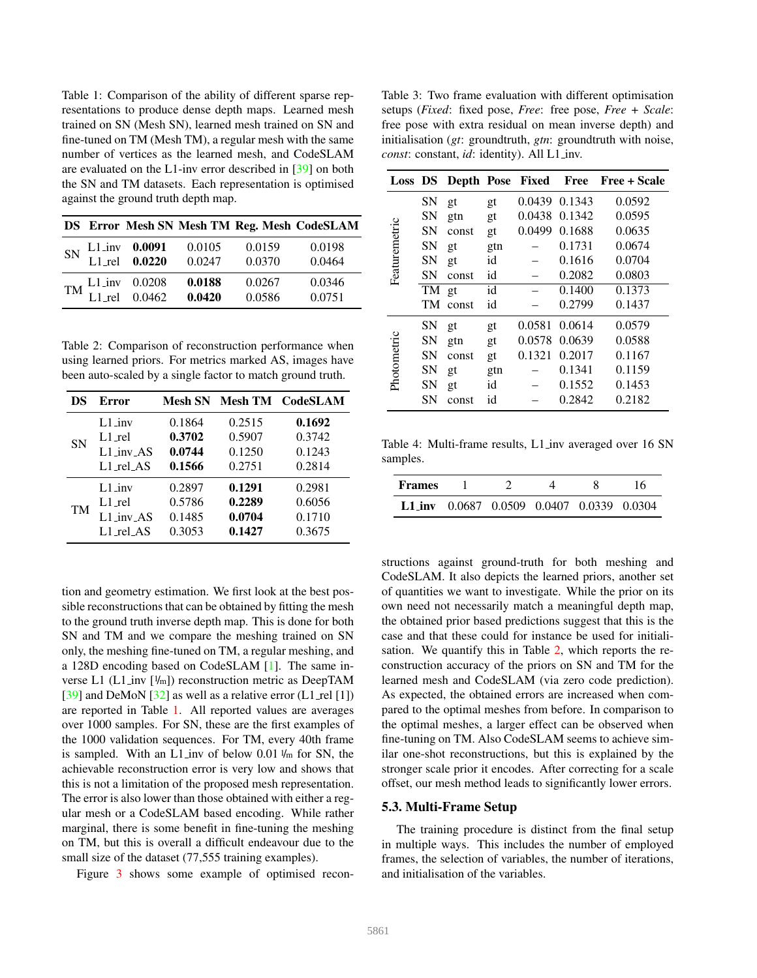Table 1: Comparison of the ability of different sparse representations to produce dense depth maps. Learned mesh trained on SN (Mesh SN), learned mesh trained on SN and fine-tuned on TM (Mesh TM), a regular mesh with the same number of vertices as the learned mesh, and CodeSLAM are evaluated on the L1-inv error described in [39] on both the SN and TM datasets. Each representation is optimised against the ground truth depth map.

|  |                                                 |        |        | DS Error Mesh SN Mesh TM Reg. Mesh CodeSLAM |
|--|-------------------------------------------------|--------|--------|---------------------------------------------|
|  | SN L1_inv 0.0091 0.0105<br>L1_rel 0.0220 0.0247 |        | 0.0159 | 0.0198                                      |
|  |                                                 |        | 0.0370 | 0.0464                                      |
|  | $TM$ $L1$ inv 0.0208<br>$L1$ rel 0.0462         | 0.0188 | 0.0267 | 0.0346                                      |
|  |                                                 | 0.0420 | 0.0586 | 0.0751                                      |

Table 2: Comparison of reconstruction performance when using learned priors. For metrics marked AS, images have been auto-scaled by a single factor to match ground truth.

| DS | Error                   | Mesh SN |        | Mesh TM CodeSLAM |
|----|-------------------------|---------|--------|------------------|
| SN | $L1$ <sub>inv</sub>     | 0.1864  | 0.2515 | 0.1692           |
|    | L1_rel                  | 0.3702  | 0.5907 | 0.3742           |
|    | $L1$ <sub>-inv-AS</sub> | 0.0744  | 0.1250 | 0.1243           |
|    | $L1$ rel $AS$           | 0.1566  | 0.2751 | 0.2814           |
|    | $L1$ inv                | 0.2897  | 0.1291 | 0.2981           |
| TM | $L1$ <sub>-rel</sub>    | 0.5786  | 0.2289 | 0.6056           |
|    | $L1$ inv AS             | 0.1485  | 0.0704 | 0.1710           |
|    | $L1$ _rel_AS            | 0.3053  | 0.1427 | 0.3675           |

tion and geometry estimation. We first look at the best possible reconstructions that can be obtained by fitting the mesh to the ground truth inverse depth map. This is done for both SN and TM and we compare the meshing trained on SN only, the meshing fine-tuned on TM, a regular meshing, and a 128D encoding based on CodeSLAM [1]. The same inverse L1 (L1 inv  $[\frac{1}{m}]$ ) reconstruction metric as DeepTAM [39] and DeMoN [32] as well as a relative error  $(L1$  rel [1]) are reported in Table 1. All reported values are averages over 1000 samples. For SN, these are the first examples of the 1000 validation sequences. For TM, every 40th frame is sampled. With an L1 inv of below  $0.01 \frac{1}{m}$  for SN, the achievable reconstruction error is very low and shows that this is not a limitation of the proposed mesh representation. The error is also lower than those obtained with either a regular mesh or a CodeSLAM based encoding. While rather marginal, there is some benefit in fine-tuning the meshing on TM, but this is overall a difficult endeavour due to the small size of the dataset (77,555 training examples).

Figure 3 shows some example of optimised recon-

Table 3: Two frame evaluation with different optimisation setups (*Fixed*: fixed pose, *Free*: free pose, *Free + Scale*: free pose with extra residual on mean inverse depth) and initialisation (*gt*: groundtruth, *gtn*: groundtruth with noise, *const*: constant, *id*: identity). All L1 inv.

| Loss DS       |           |       |     | Depth Pose Fixed | Free   | Free + Scale |
|---------------|-----------|-------|-----|------------------|--------|--------------|
|               | <b>SN</b> | gt    | gt  | 0.0439           | 0.1343 | 0.0592       |
|               | <b>SN</b> | gtn   | gt  | 0.0438           | 0.1342 | 0.0595       |
|               | <b>SN</b> | const | gt  | 0.0499           | 0.1688 | 0.0635       |
|               | <b>SN</b> | gt    | gtn |                  | 0.1731 | 0.0674       |
|               | <b>SN</b> | gt    | id  |                  | 0.1616 | 0.0704       |
| Featuremetric | <b>SN</b> | const | id  |                  | 0.2082 | 0.0803       |
|               | TM        | gt    | id  |                  | 0.1400 | 0.1373       |
|               | TM        | const | id  |                  | 0.2799 | 0.1437       |
|               | SN        | gt    | gt  | 0.0581           | 0.0614 | 0.0579       |
|               | <b>SN</b> | gtn   | gt  | 0.0578           | 0.0639 | 0.0588       |
|               | <b>SN</b> | const | gt  | 0.1321           | 0.2017 | 0.1167       |
| Photometric   | <b>SN</b> | gt    | gtn |                  | 0.1341 | 0.1159       |
|               | SN        | gt    | id  |                  | 0.1552 | 0.1453       |
|               | <b>SN</b> | const | id  |                  | 0.2842 | 0.2182       |

Table 4: Multi-frame results, L1 inv averaged over 16 SN samples.

| <b>Frames</b> |  |                                                       |  |
|---------------|--|-------------------------------------------------------|--|
|               |  | L <sub>1</sub> inv 0.0687 0.0509 0.0407 0.0339 0.0304 |  |

structions against ground-truth for both meshing and CodeSLAM. It also depicts the learned priors, another set of quantities we want to investigate. While the prior on its own need not necessarily match a meaningful depth map, the obtained prior based predictions suggest that this is the case and that these could for instance be used for initialisation. We quantify this in Table 2, which reports the reconstruction accuracy of the priors on SN and TM for the learned mesh and CodeSLAM (via zero code prediction). As expected, the obtained errors are increased when compared to the optimal meshes from before. In comparison to the optimal meshes, a larger effect can be observed when fine-tuning on TM. Also CodeSLAM seems to achieve similar one-shot reconstructions, but this is explained by the stronger scale prior it encodes. After correcting for a scale offset, our mesh method leads to significantly lower errors.

#### 5.3. Multi-Frame Setup

The training procedure is distinct from the final setup in multiple ways. This includes the number of employed frames, the selection of variables, the number of iterations, and initialisation of the variables.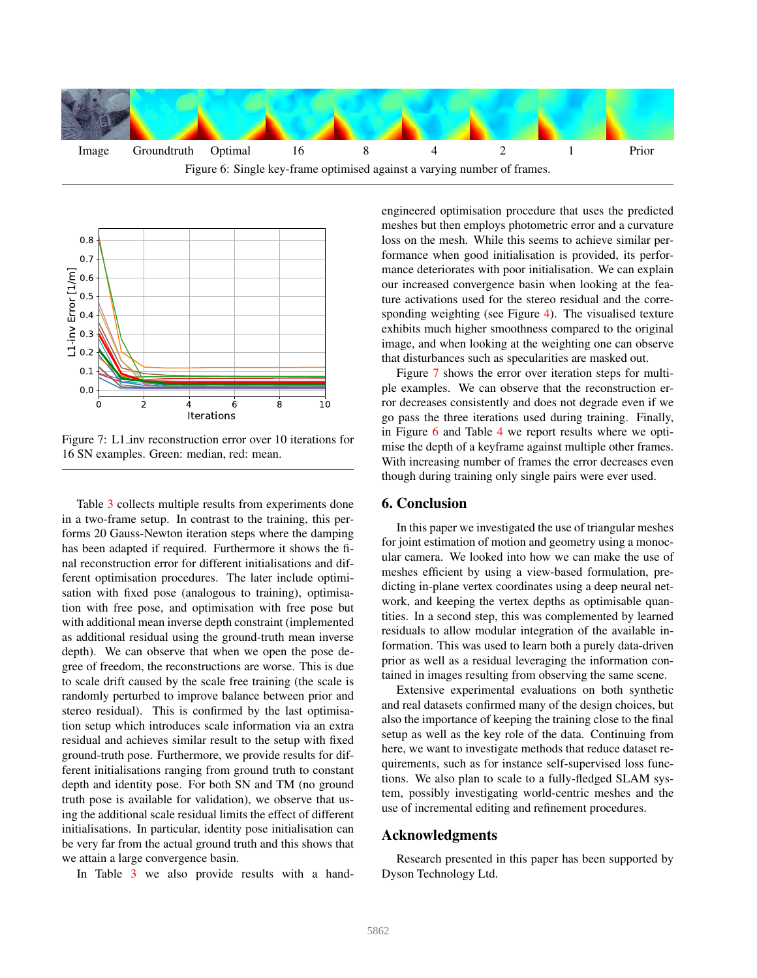



Figure 7: L1 inv reconstruction error over 10 iterations for 16 SN examples. Green: median, red: mean.

Table 3 collects multiple results from experiments done in a two-frame setup. In contrast to the training, this performs 20 Gauss-Newton iteration steps where the damping has been adapted if required. Furthermore it shows the final reconstruction error for different initialisations and different optimisation procedures. The later include optimisation with fixed pose (analogous to training), optimisation with free pose, and optimisation with free pose but with additional mean inverse depth constraint (implemented as additional residual using the ground-truth mean inverse depth). We can observe that when we open the pose degree of freedom, the reconstructions are worse. This is due to scale drift caused by the scale free training (the scale is randomly perturbed to improve balance between prior and stereo residual). This is confirmed by the last optimisation setup which introduces scale information via an extra residual and achieves similar result to the setup with fixed ground-truth pose. Furthermore, we provide results for different initialisations ranging from ground truth to constant depth and identity pose. For both SN and TM (no ground truth pose is available for validation), we observe that using the additional scale residual limits the effect of different initialisations. In particular, identity pose initialisation can be very far from the actual ground truth and this shows that we attain a large convergence basin.

In Table 3 we also provide results with a hand-

engineered optimisation procedure that uses the predicted meshes but then employs photometric error and a curvature loss on the mesh. While this seems to achieve similar performance when good initialisation is provided, its performance deteriorates with poor initialisation. We can explain our increased convergence basin when looking at the feature activations used for the stereo residual and the corresponding weighting (see Figure 4). The visualised texture exhibits much higher smoothness compared to the original image, and when looking at the weighting one can observe that disturbances such as specularities are masked out.

Figure 7 shows the error over iteration steps for multiple examples. We can observe that the reconstruction error decreases consistently and does not degrade even if we go pass the three iterations used during training. Finally, in Figure 6 and Table 4 we report results where we optimise the depth of a keyframe against multiple other frames. With increasing number of frames the error decreases even though during training only single pairs were ever used.

### 6. Conclusion

In this paper we investigated the use of triangular meshes for joint estimation of motion and geometry using a monocular camera. We looked into how we can make the use of meshes efficient by using a view-based formulation, predicting in-plane vertex coordinates using a deep neural network, and keeping the vertex depths as optimisable quantities. In a second step, this was complemented by learned residuals to allow modular integration of the available information. This was used to learn both a purely data-driven prior as well as a residual leveraging the information contained in images resulting from observing the same scene.

Extensive experimental evaluations on both synthetic and real datasets confirmed many of the design choices, but also the importance of keeping the training close to the final setup as well as the key role of the data. Continuing from here, we want to investigate methods that reduce dataset requirements, such as for instance self-supervised loss functions. We also plan to scale to a fully-fledged SLAM system, possibly investigating world-centric meshes and the use of incremental editing and refinement procedures.

### Acknowledgments

Research presented in this paper has been supported by Dyson Technology Ltd.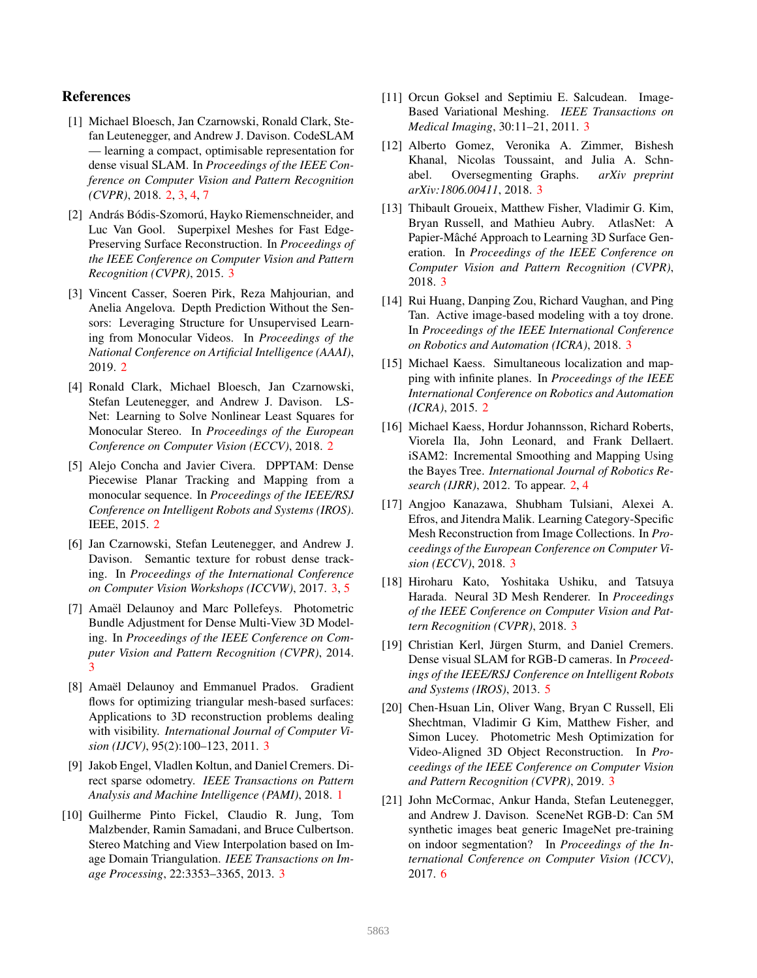# References

- [1] Michael Bloesch, Jan Czarnowski, Ronald Clark, Stefan Leutenegger, and Andrew J. Davison. CodeSLAM — learning a compact, optimisable representation for dense visual SLAM. In *Proceedings of the IEEE Conference on Computer Vision and Pattern Recognition (CVPR)*, 2018. 2, 3, 4, 7
- [2] András Bódis-Szomorú, Hayko Riemenschneider, and Luc Van Gool. Superpixel Meshes for Fast Edge-Preserving Surface Reconstruction. In *Proceedings of the IEEE Conference on Computer Vision and Pattern Recognition (CVPR)*, 2015. 3
- [3] Vincent Casser, Soeren Pirk, Reza Mahjourian, and Anelia Angelova. Depth Prediction Without the Sensors: Leveraging Structure for Unsupervised Learning from Monocular Videos. In *Proceedings of the National Conference on Artificial Intelligence (AAAI)*, 2019. 2
- [4] Ronald Clark, Michael Bloesch, Jan Czarnowski, Stefan Leutenegger, and Andrew J. Davison. LS-Net: Learning to Solve Nonlinear Least Squares for Monocular Stereo. In *Proceedings of the European Conference on Computer Vision (ECCV)*, 2018. 2
- [5] Alejo Concha and Javier Civera. DPPTAM: Dense Piecewise Planar Tracking and Mapping from a monocular sequence. In *Proceedings of the IEEE/RSJ Conference on Intelligent Robots and Systems (IROS)*. IEEE, 2015. 2
- [6] Jan Czarnowski, Stefan Leutenegger, and Andrew J. Davison. Semantic texture for robust dense tracking. In *Proceedings of the International Conference on Computer Vision Workshops (ICCVW)*, 2017. 3, 5
- [7] Amaël Delaunoy and Marc Pollefeys. Photometric Bundle Adjustment for Dense Multi-View 3D Modeling. In *Proceedings of the IEEE Conference on Computer Vision and Pattern Recognition (CVPR)*, 2014. 3
- [8] Amaël Delaunoy and Emmanuel Prados. Gradient flows for optimizing triangular mesh-based surfaces: Applications to 3D reconstruction problems dealing with visibility. *International Journal of Computer Vision (IJCV)*, 95(2):100–123, 2011. 3
- [9] Jakob Engel, Vladlen Koltun, and Daniel Cremers. Direct sparse odometry. *IEEE Transactions on Pattern Analysis and Machine Intelligence (PAMI)*, 2018. 1
- [10] Guilherme Pinto Fickel, Claudio R. Jung, Tom Malzbender, Ramin Samadani, and Bruce Culbertson. Stereo Matching and View Interpolation based on Image Domain Triangulation. *IEEE Transactions on Image Processing*, 22:3353–3365, 2013. 3
- [11] Orcun Goksel and Septimiu E. Salcudean. Image-Based Variational Meshing. *IEEE Transactions on Medical Imaging*, 30:11–21, 2011. 3
- [12] Alberto Gomez, Veronika A. Zimmer, Bishesh Khanal, Nicolas Toussaint, and Julia A. Schnabel. Oversegmenting Graphs. *arXiv preprint arXiv:1806.00411*, 2018. 3
- [13] Thibault Groueix, Matthew Fisher, Vladimir G. Kim, Bryan Russell, and Mathieu Aubry. AtlasNet: A Papier-Mâché Approach to Learning 3D Surface Generation. In *Proceedings of the IEEE Conference on Computer Vision and Pattern Recognition (CVPR)*, 2018. 3
- [14] Rui Huang, Danping Zou, Richard Vaughan, and Ping Tan. Active image-based modeling with a toy drone. In *Proceedings of the IEEE International Conference on Robotics and Automation (ICRA)*, 2018. 3
- [15] Michael Kaess. Simultaneous localization and mapping with infinite planes. In *Proceedings of the IEEE International Conference on Robotics and Automation (ICRA)*, 2015. 2
- [16] Michael Kaess, Hordur Johannsson, Richard Roberts, Viorela Ila, John Leonard, and Frank Dellaert. iSAM2: Incremental Smoothing and Mapping Using the Bayes Tree. *International Journal of Robotics Research (IJRR)*, 2012. To appear. 2, 4
- [17] Angjoo Kanazawa, Shubham Tulsiani, Alexei A. Efros, and Jitendra Malik. Learning Category-Specific Mesh Reconstruction from Image Collections. In *Proceedings of the European Conference on Computer Vision (ECCV)*, 2018. 3
- [18] Hiroharu Kato, Yoshitaka Ushiku, and Tatsuya Harada. Neural 3D Mesh Renderer. In *Proceedings of the IEEE Conference on Computer Vision and Pattern Recognition (CVPR)*, 2018. 3
- [19] Christian Kerl, Jürgen Sturm, and Daniel Cremers. Dense visual SLAM for RGB-D cameras. In *Proceedings of the IEEE/RSJ Conference on Intelligent Robots and Systems (IROS)*, 2013. 5
- [20] Chen-Hsuan Lin, Oliver Wang, Bryan C Russell, Eli Shechtman, Vladimir G Kim, Matthew Fisher, and Simon Lucey. Photometric Mesh Optimization for Video-Aligned 3D Object Reconstruction. In *Proceedings of the IEEE Conference on Computer Vision and Pattern Recognition (CVPR)*, 2019. 3
- [21] John McCormac, Ankur Handa, Stefan Leutenegger, and Andrew J. Davison. SceneNet RGB-D: Can 5M synthetic images beat generic ImageNet pre-training on indoor segmentation? In *Proceedings of the International Conference on Computer Vision (ICCV)*, 2017. 6